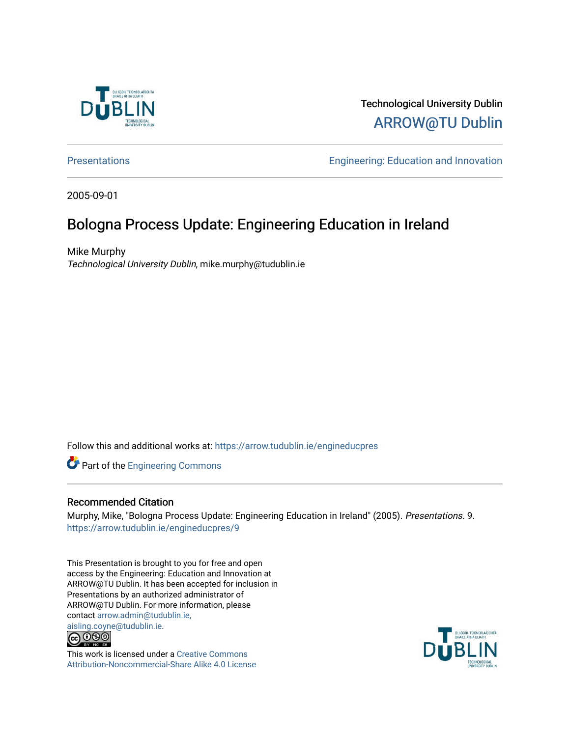

#### Technological University Dublin [ARROW@TU Dublin](https://arrow.tudublin.ie/)

[Presentations](https://arrow.tudublin.ie/engineducpres) **Engineering: Education and Innovation** 

2005-09-01

#### Bologna Process Update: Engineering Education in Ireland

Mike Murphy Technological University Dublin, mike.murphy@tudublin.ie

Follow this and additional works at: [https://arrow.tudublin.ie/engineducpres](https://arrow.tudublin.ie/engineducpres?utm_source=arrow.tudublin.ie%2Fengineducpres%2F9&utm_medium=PDF&utm_campaign=PDFCoverPages)

Part of the [Engineering Commons](http://network.bepress.com/hgg/discipline/217?utm_source=arrow.tudublin.ie%2Fengineducpres%2F9&utm_medium=PDF&utm_campaign=PDFCoverPages)

#### Recommended Citation

Murphy, Mike, "Bologna Process Update: Engineering Education in Ireland" (2005). Presentations. 9. [https://arrow.tudublin.ie/engineducpres/9](https://arrow.tudublin.ie/engineducpres/9?utm_source=arrow.tudublin.ie%2Fengineducpres%2F9&utm_medium=PDF&utm_campaign=PDFCoverPages)

This Presentation is brought to you for free and open access by the Engineering: Education and Innovation at ARROW@TU Dublin. It has been accepted for inclusion in Presentations by an authorized administrator of ARROW@TU Dublin. For more information, please contact [arrow.admin@tudublin.ie,](mailto:arrow.admin@tudublin.ie,%20aisling.coyne@tudublin.ie)  [aisling.coyne@tudublin.ie.](mailto:arrow.admin@tudublin.ie,%20aisling.coyne@tudublin.ie)<br>© 090



This work is licensed under a [Creative Commons](http://creativecommons.org/licenses/by-nc-sa/4.0/) [Attribution-Noncommercial-Share Alike 4.0 License](http://creativecommons.org/licenses/by-nc-sa/4.0/)

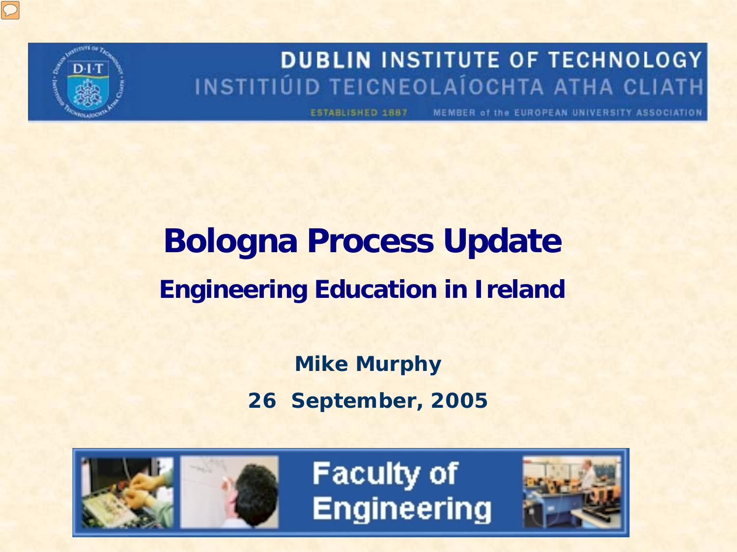#### **DUBLIN INSTITUTE OF TECHNOLOGY** INSTITIÚID TEICNEOLAÍOCHTA ATHA CLIATH

MEMBER of the EUROPEAN UNIVERSITY ASSOCIATION ESTABLISHED 1887

### **Bologna Process Update Engineering Education in Ireland**

**Mike Murphy 26 September, 2005**



**Faculty of Engineering** 

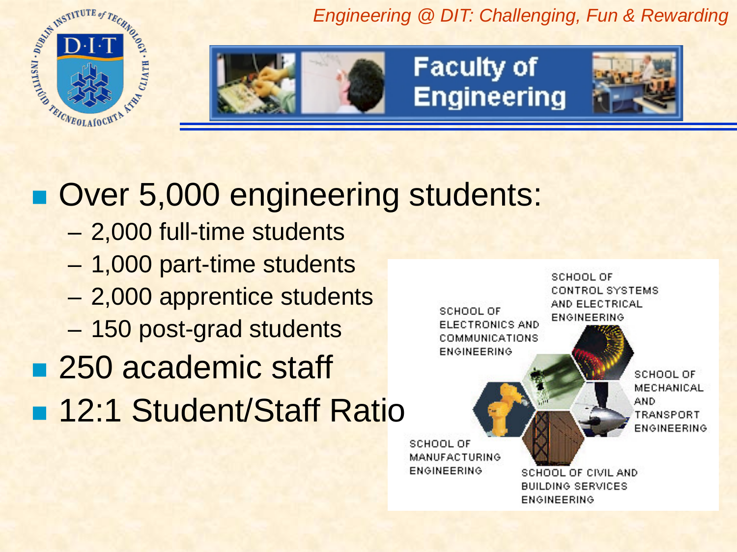ARICABOLAIOCHTA **FA CLIATH . KSON** 

*Engineering @ DIT: Challenging, Fun & Rewarding*



**Faculty of Engineering** 



### Over 5,000 engineering students:

- 2,000 full-time students
- 1,000 part-time students
- 2,000 apprentice students
- 150 post-grad students
- 250 academic staff
- **n** 12:1 Student/Staff Ratio

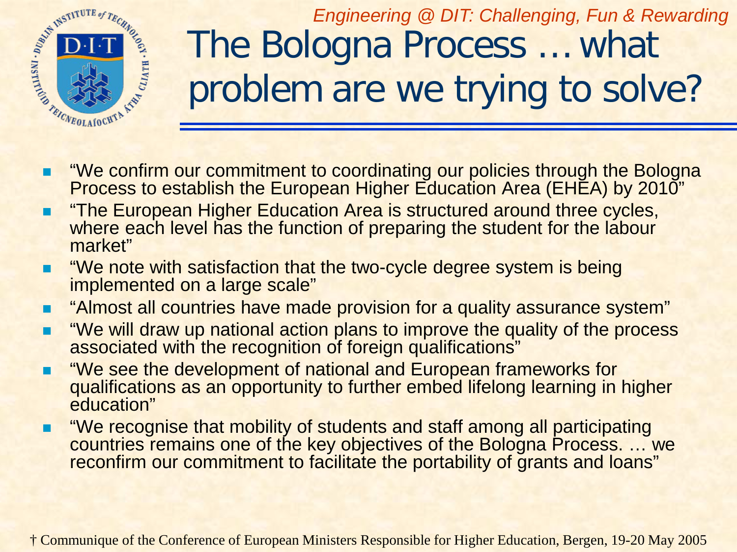

*Engineering @ DIT: Challenging, Fun & Rewarding* The Bologna Process … what problem are we trying to solve?

- **The Measure Commitment to coordinating our policies through the Bologna** Process to establish the European Higher Education Area (EHEA) by 2010"
- "The European Higher Education Area is structured around three cycles, where each level has the function of preparing the student for the labour market"
- "We note with satisfaction that the two-cycle degree system is being implemented on a large scale"
- **E** "Almost all countries have made provision for a quality assurance system"
- "We will draw up national action plans to improve the quality of the process associated with the recognition of foreign qualifications"
- "We see the development of national and European frameworks for qualifications as an opportunity to further embed lifelong learning in higher education"
- "We recognise that mobility of students and staff among all participating countries remains one of the key objectives of the Bologna Process. … we reconfirm our commitment to facilitate the portability of grants and loans"

† Communique of the Conference of European Ministers Responsible for Higher Education, Bergen, 19-20 May 2005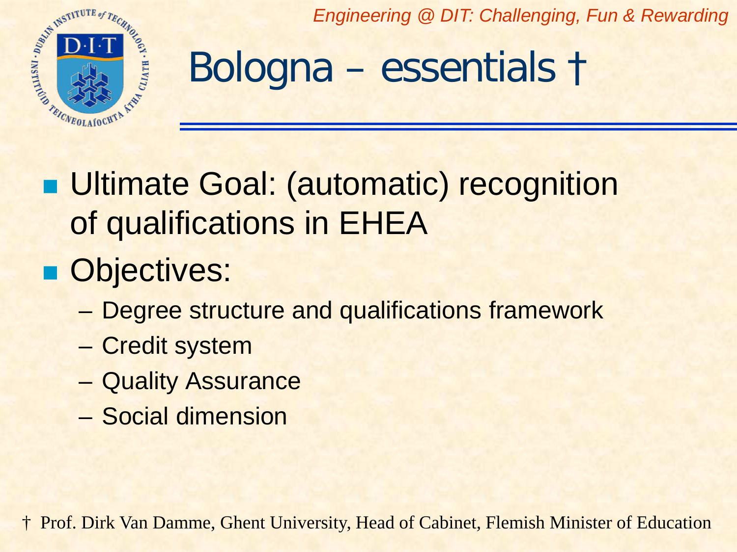

### Bologna – essentials †

**Ultimate Goal: (automatic) recognition** of qualifications in EHEA

### **Objectives:**

- Degree structure and qualifications framework
- Credit system
- Quality Assurance
- Social dimension

† Prof. Dirk Van Damme, Ghent University, Head of Cabinet, Flemish Minister of Education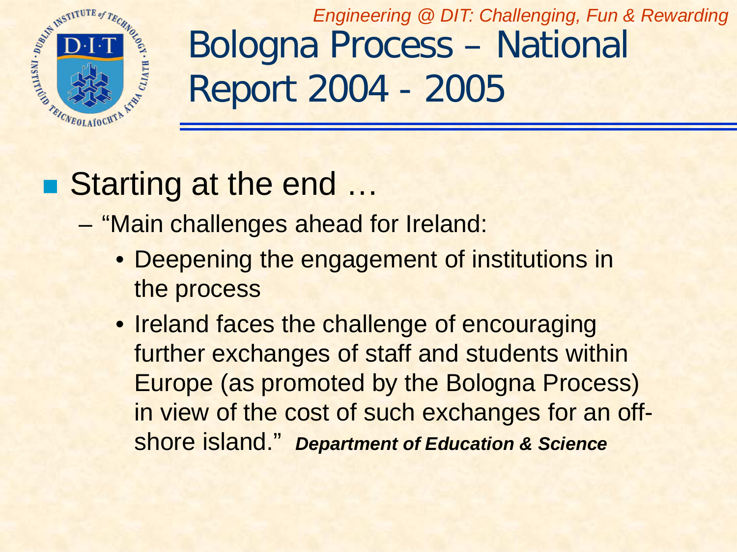

*Engineering @ DIT: Challenging, Fun & Rewarding* Bologna Process – National Report 2004 - 2005

### ■ Starting at the end ...

- "Main challenges ahead for Ireland:
	- Deepening the engagement of institutions in the process
	- Ireland faces the challenge of encouraging further exchanges of staff and students within Europe (as promoted by the Bologna Process) in view of the cost of such exchanges for an offshore island." *Department of Education & Science*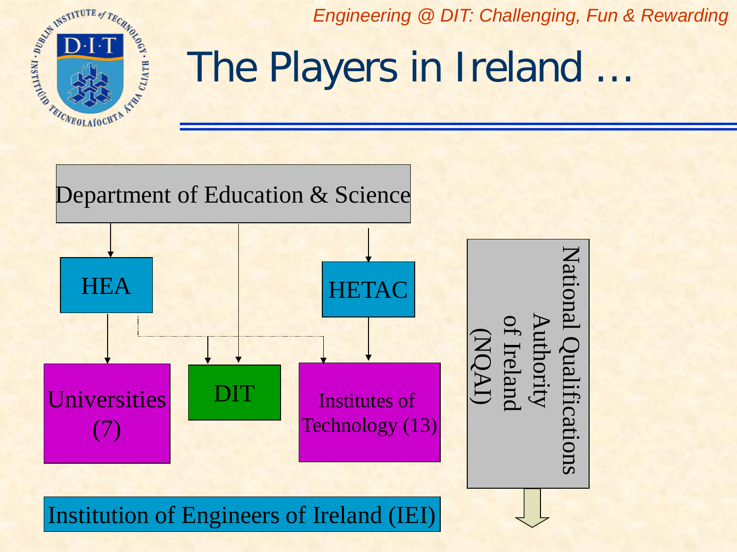

### The Players in Ireland …

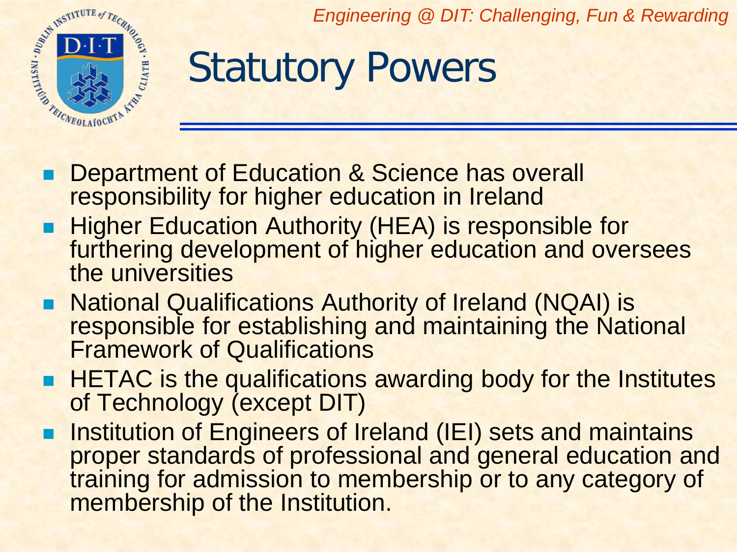

## Statutory Powers

- **Department of Education & Science has overall** responsibility for higher education in Ireland
- **Higher Education Authority (HEA) is responsible for** furthering development of higher education and oversees the universities
- National Qualifications Authority of Ireland (NQAI) is responsible for establishing and maintaining the National Framework of Qualifications
- **HETAC** is the qualifications awarding body for the Institutes of Technology (except DIT)
- Institution of Engineers of Ireland (IEI) sets and maintains proper standards of professional and general education and training for admission to membership or to any category of membership of the Institution.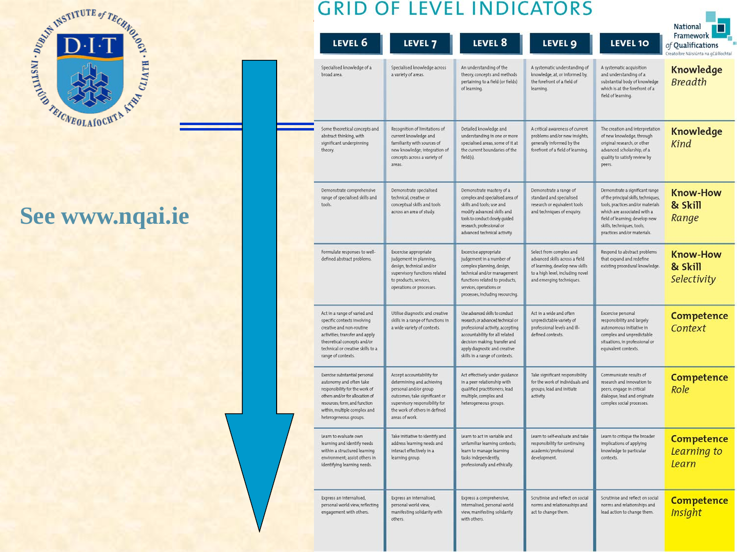

### **See www.nqai.ie**

| LEVEL 6                                                                                                                                                                                                                 | LEVEL <sub>7</sub>                                                                                                                                                                                    | LEVEL 8                                                                                                                                                                                                                                        | LEVEL 9                                                                                                                                                      | <b>LEVEL 10</b>                                                                                                                                                                                                                            | Framework<br>of Oualifications<br>Creatoibre Náisiúnta na gCáilíochtaí |
|-------------------------------------------------------------------------------------------------------------------------------------------------------------------------------------------------------------------------|-------------------------------------------------------------------------------------------------------------------------------------------------------------------------------------------------------|------------------------------------------------------------------------------------------------------------------------------------------------------------------------------------------------------------------------------------------------|--------------------------------------------------------------------------------------------------------------------------------------------------------------|--------------------------------------------------------------------------------------------------------------------------------------------------------------------------------------------------------------------------------------------|------------------------------------------------------------------------|
| Specialised knowledge of a<br>broad area.                                                                                                                                                                               | Specialised knowledge across<br>a variety of areas.                                                                                                                                                   | An understanding of the<br>theory, concepts and methods<br>pertaining to a field (or fields)<br>of learning.                                                                                                                                   | A systematic understanding of<br>knowledge, at, or informed by,<br>the forefront of a field of<br>learning.                                                  | A systematic acquisition<br>and understanding of a<br>substantial body of knowledge<br>which is at the forefront of a<br>field of learning.                                                                                                | Knowledge<br><b>Breadth</b>                                            |
| Some theoretical concepts and<br>abstract thinking, with<br>significant underpinning<br>theory                                                                                                                          | Recognition of limitations of<br>current knowledge and<br>familiarity with sources of<br>new knowledge; integration of<br>concepts across a variety of<br>areas.                                      | Detailed knowledge and<br>understanding in one or more<br>specialised areas, some of it at<br>the current boundaries of the<br>field(s)                                                                                                        | A critical awareness of current<br>problems and/or new insights,<br>generally informed by the<br>forefront of a field of learning.                           | The creation and interpretation<br>of new knowledge, through<br>original research, or other<br>advanced scholarship, of a<br>quality to satisfy review by<br>peers.                                                                        | Knowledge<br>Kind                                                      |
| Demonstrate comprehensive<br>range of specialised skills and<br>tools.                                                                                                                                                  | Demonstrate specialised<br>technical, creative or<br>conceptual skills and tools<br>across an area of study.                                                                                          | Demonstrate mastery of a<br>complex and specialised area of<br>skills and tools; use and<br>modify advanced skills and<br>tools to conduct closely guided<br>research, professional or<br>advanced technical activity.                         | Demonstrate a range of<br>standard and specialised<br>research or equivalent tools<br>and techniques of enquiry.                                             | Demonstrate a significant range<br>of the principal skills, techniques,<br>tools, practices and/or materials<br>which are associated with a<br>field of learning; develop new<br>skills, techniques, tools,<br>practices and/or materials. | <b>Know-How</b><br>& Skill<br>Range                                    |
| Formulate responses to well-<br>defined abstract problems.                                                                                                                                                              | Excercise appropriate<br>judgement in planning.<br>design, technical and/or<br>supervisory functions related<br>to products, services,<br>operations or processes.                                    | Excercise appropriate<br>judgement in a number of<br>complex planning, design,<br>technical and/or management<br>functions related to products,<br>services, operations or<br>processes, including resourcing.                                 | Select from complex and<br>advanced skills across a field<br>of learning; develop new skills<br>to a high level, including novel<br>and emerging techniques. | Respond to abstract problems<br>that expand and redefine<br>existing procedural knowledge.                                                                                                                                                 | <b>Know-How</b><br>& Skill<br>Selectivity                              |
| Act in a range of varied and<br>specific contexts involving<br>creative and non-routine<br>activities; transfer and apply<br>theoretical concepts and/or<br>technical or creative skills to a<br>range of contexts.     | Utilise diagnostic and creative<br>skills in a range of functions in<br>a wide variety of contexts.                                                                                                   | Use advanced skills to conduct<br>research, or advanced technical or<br>professional activity, accepting<br>accountability for all related<br>decision making; transfer and<br>apply diagnostic and creative<br>skills in a range of contexts. | Act in a wide and often<br>unpredictable variety of<br>professional levels and ill-<br>defined contexts.                                                     | Excercise personal<br>responsibility and largely<br>autonomous initiative in<br>complex and unpredictable<br>situations, in professional or<br>equivalent contexts.                                                                        | Competence<br>Context                                                  |
| Exercise substantial personal<br>autonomy and often take<br>responsibility for the work of<br>others and/or for allocation of<br>resources; form, and function<br>within, multiple complex and<br>heterogeneous groups. | Accept accountability for<br>determining and achieving<br>personal and/or group<br>outcomes; take significant or<br>supervisory responsibility for<br>the work of others in defined<br>areas of work. | Act effectively under guidance<br>in a peer relationship with<br>qualified practitioners; lead<br>multiple, complex and<br>heterogeneous groups.                                                                                               | Take significant responsibility<br>for the work of individuals and<br>groups; lead and initiate<br>activity                                                  | Communicate results of<br>research and innovation to<br>peers; engage in critical<br>dialogue; lead and originate<br>complex social processes.                                                                                             | Competence<br>Role                                                     |
| Learn to evaluate own<br>learning and identify needs<br>within a structured learning<br>environment; assist others in<br>identifying learning needs.                                                                    | Take initiative to identify and<br>address learning needs and<br>interact effectively in a<br>learning group.                                                                                         | learn to act in variable and<br>unfamiliar learning contexts;<br>learn to manage learning<br>tasks independently,<br>professionally and ethically.                                                                                             | Learn to self-evaluate and take<br>responsibility for continuing<br>academic/professional<br>development.                                                    | Learn to critique the broader<br>implications of applying<br>knowledge to particular<br>contexts.                                                                                                                                          | <b>Competence</b><br>Learning to<br>Learn                              |
| Express an internalised,<br>personal world view, reflecting<br>engagement with others.                                                                                                                                  | Express an internalised,<br>personal world view,<br>manifesting solidarity with                                                                                                                       | Express a comprehensive,<br>internalised, personal world<br>view, manifesting solidarity                                                                                                                                                       | Scrutinise and reflect on social<br>norms and relationaships and<br>act to change them.                                                                      | Scrutinise and reflect on social<br>norms and relationships and<br>lead action to change them.                                                                                                                                             | Competence<br><b>Insight</b>                                           |

ш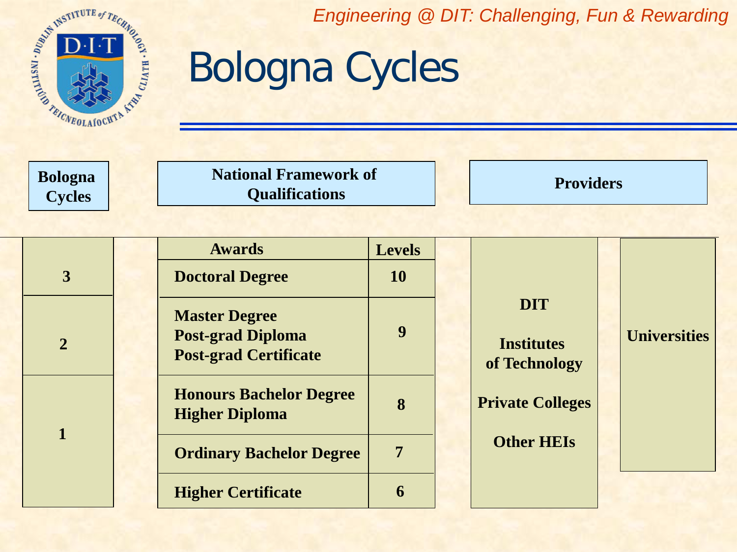

**Bologna Cycles**

### Bologna Cycles

**National Framework of Qualifications Providers** 

|  |                | <b>Awards</b>                                                                    | <b>Levels</b>    |                                                  |  |                     |  |
|--|----------------|----------------------------------------------------------------------------------|------------------|--------------------------------------------------|--|---------------------|--|
|  | $\overline{3}$ | <b>Doctoral Degree</b>                                                           | <b>10</b>        |                                                  |  |                     |  |
|  | $\overline{2}$ | <b>Master Degree</b><br><b>Post-grad Diploma</b><br><b>Post-grad Certificate</b> | $\boldsymbol{9}$ | <b>DIT</b><br><b>Institutes</b><br>of Technology |  | <b>Universities</b> |  |
|  |                | <b>Honours Bachelor Degree</b><br><b>Higher Diploma</b>                          | 8                | <b>Private Colleges</b>                          |  |                     |  |
|  |                | <b>Ordinary Bachelor Degree</b>                                                  | 7                | <b>Other HEIs</b>                                |  |                     |  |
|  |                | <b>Higher Certificate</b>                                                        | 6                |                                                  |  |                     |  |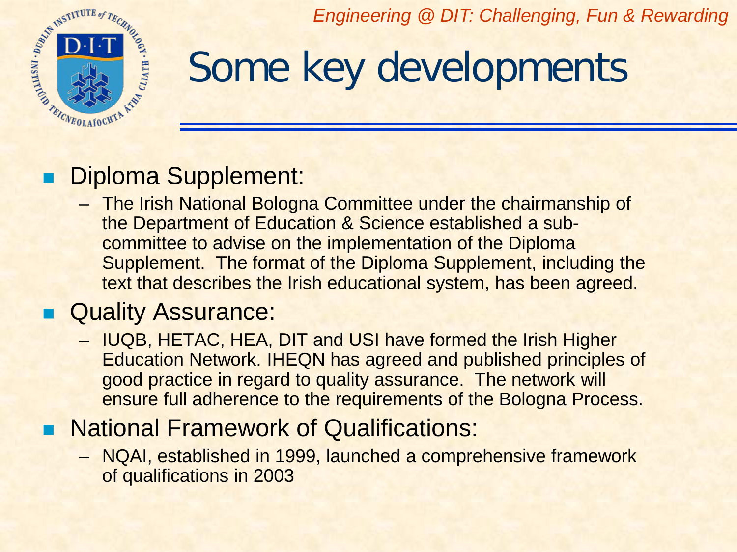

### Some key developments

#### Diploma Supplement:

– The Irish National Bologna Committee under the chairmanship of the Department of Education & Science established a subcommittee to advise on the implementation of the Diploma Supplement. The format of the Diploma Supplement, including the text that describes the Irish educational system, has been agreed.

#### **Quality Assurance:**

– IUQB, HETAC, HEA, DIT and USI have formed the Irish Higher Education Network. IHEQN has agreed and published principles of good practice in regard to quality assurance. The network will ensure full adherence to the requirements of the Bologna Process.

### **National Framework of Qualifications:**

– NQAI, established in 1999, launched a comprehensive framework of qualifications in 2003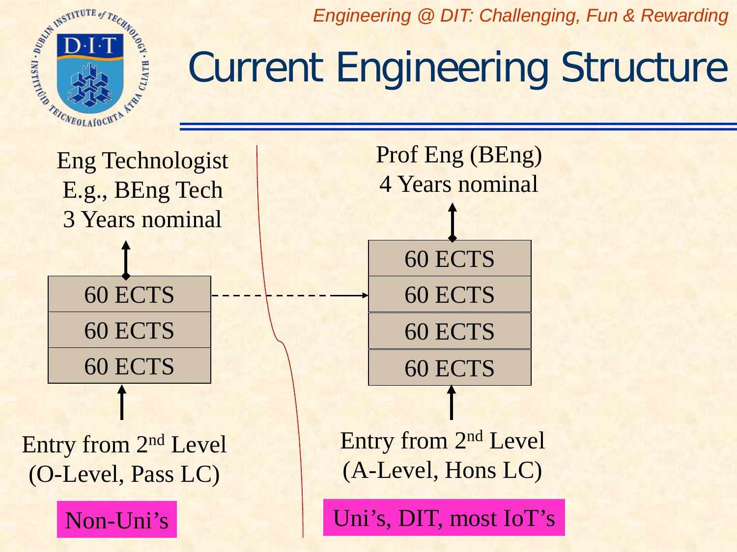

## Current Engineering Structure



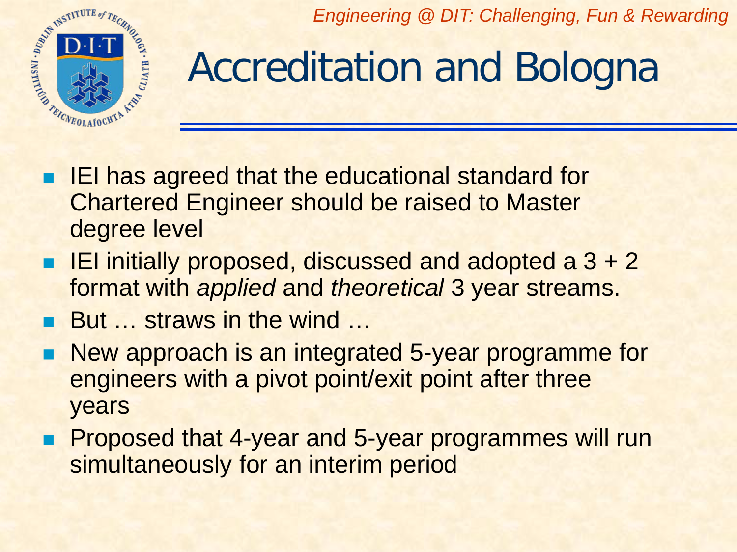

# Accreditation and Bologna

- IEI has agreed that the educational standard for Chartered Engineer should be raised to Master degree level
- **IEI** initially proposed, discussed and adopted a  $3 + 2$ format with *applied* and *theoretical* 3 year streams.
- But ... straws in the wind ...
- New approach is an integrated 5-year programme for engineers with a pivot point/exit point after three years
- **Proposed that 4-year and 5-year programmes will run** simultaneously for an interim period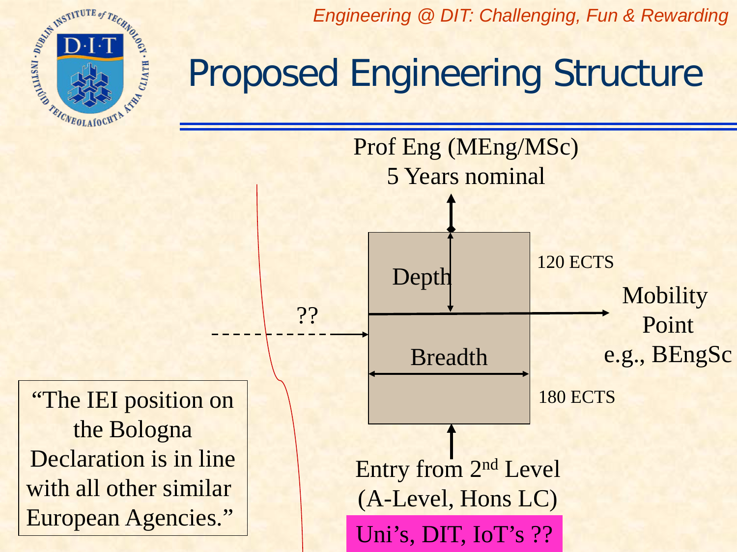ARICABOLAIGHTA A CLIATH . KOON

*Engineering @ DIT: Challenging, Fun & Rewarding*

### Proposed Engineering Structure